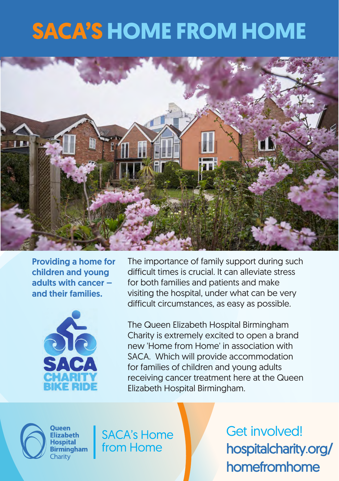## **SACA'S HOME FROM HOME**



Providing a home for children and young adults with cancer – and their families.



The importance of family support during such difficult times is crucial. It can alleviate stress for both families and patients and make visiting the hospital, under what can be very difficult circumstances, as easy as possible.

The Queen Elizabeth Hospital Birmingham Charity is extremely excited to open a brand new 'Home from Home' in association with SACA. Which will provide accommodation for families of children and young adults receiving cancer treatment here at the Queen Elizabeth Hospital Birmingham.



**Flizabeth Hospital Birmingham** Charity

**SACA's Home** from Home

Get involved! hospitalcharity.org/ homefromhome